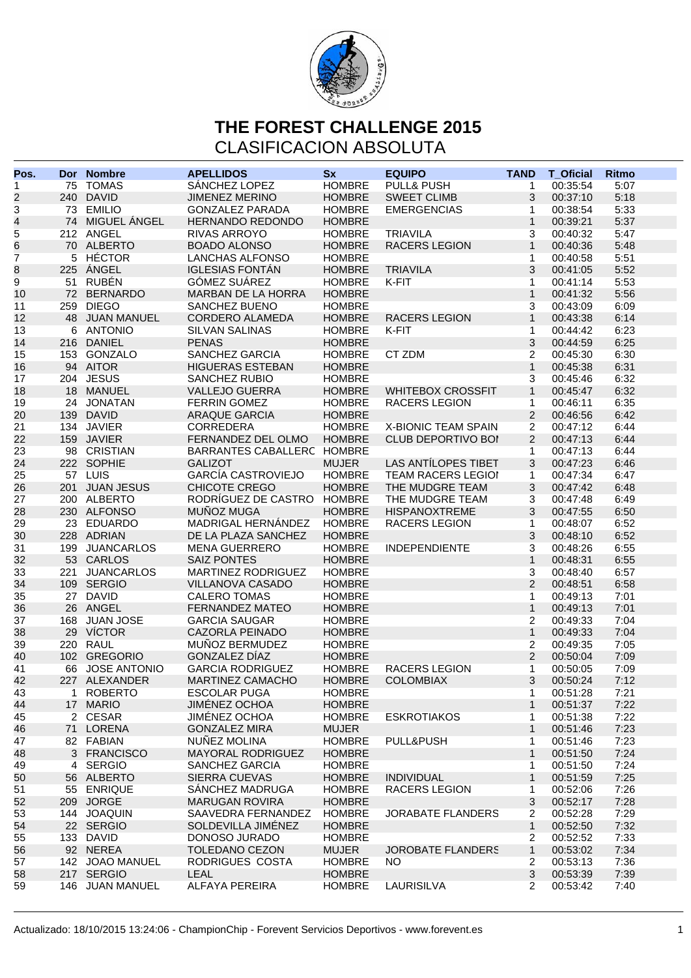

| SÁNCHEZ LOPEZ<br><b>HOMBRE</b><br><b>PULL&amp; PUSH</b><br>75<br>TOMAS<br>00:35:54<br>1<br>$\mathbf{1}$<br>$\overline{\mathbf{c}}$<br>240 DAVID<br><b>HOMBRE</b><br>3<br><b>JIMENEZ MERINO</b><br><b>SWEET CLIMB</b><br>00:37:10<br>3<br>73 EMILIO<br><b>GONZALEZ PARADA</b><br><b>HOMBRE</b><br><b>EMERGENCIAS</b><br>00:38:54<br>1<br>$\overline{\mathcal{A}}$<br>74 MIGUEL ÁNGEL<br><b>HOMBRE</b><br>HERNANDO REDONDO<br>$\mathbf{1}$<br>00:39:21<br>5<br><b>TRIAVILA</b><br>212 ANGEL<br>RIVAS ARROYO<br><b>HOMBRE</b><br>3<br>00:40:32<br>6<br>70 ALBERTO<br><b>RACERS LEGION</b><br><b>BOADO ALONSO</b><br><b>HOMBRE</b><br>$\mathbf{1}$<br>00:40:36<br>$\overline{\mathbf{7}}$<br>5 HÉCTOR<br>LANCHAS ALFONSO<br><b>HOMBRE</b><br>00:40:58<br>$\mathbf{1}$<br>8<br>225 ÁNGEL<br><b>IGLESIAS FONTÁN</b><br>3<br><b>HOMBRE</b><br><b>TRIAVILA</b><br>00:41:05<br>9<br>51 RUBÉN<br>GÓMEZ SUÁREZ<br><b>HOMBRE</b><br>K-FIT<br>00:41:14<br>1<br>10<br>72 BERNARDO<br>MARBAN DE LA HORRA<br><b>HOMBRE</b><br>$\mathbf{1}$<br>00:41:32<br>11<br>259 DIEGO<br><b>SANCHEZ BUENO</b><br><b>HOMBRE</b><br>3<br>00:43:09<br>$\mathbf{1}$<br>12<br>48 JUAN MANUEL<br>CORDERO ALAMEDA<br><b>HOMBRE</b><br><b>RACERS LEGION</b><br>00:43:38<br>13<br>6 ANTONIO<br><b>SILVAN SALINAS</b><br><b>HOMBRE</b><br>K-FIT<br>00:44:42<br>1<br>3<br>14<br>216 DANIEL<br><b>PENAS</b><br><b>HOMBRE</b><br>00:44:59<br><b>SANCHEZ GARCIA</b><br>15<br>153 GONZALO<br><b>HOMBRE</b><br>CT ZDM<br>2<br>00:45:30<br>94 AITOR<br><b>HIGUERAS ESTEBAN</b><br><b>HOMBRE</b><br>$\mathbf{1}$<br>16<br>00:45:38<br>204 JESUS<br><b>HOMBRE</b><br><b>SANCHEZ RUBIO</b><br>3<br>00:45:46<br>17<br>18<br>18 MANUEL<br><b>VALLEJO GUERRA</b><br><b>HOMBRE</b><br><b>WHITEBOX CROSSFIT</b><br>$\mathbf{1}$<br>00:45:47<br>19<br>24 JONATAN<br><b>FERRIN GOMEZ</b><br><b>HOMBRE</b><br><b>RACERS LEGION</b><br>1<br>00:46:11<br>20<br>$\overline{2}$<br>139 DAVID<br><b>ARAQUE GARCIA</b><br><b>HOMBRE</b><br>00:46:56<br>21<br>2<br>134 JAVIER<br><b>CORREDERA</b><br><b>HOMBRE</b><br><b>X-BIONIC TEAM SPAIN</b><br>00:47:12 | <b>Ritmo</b> |
|-----------------------------------------------------------------------------------------------------------------------------------------------------------------------------------------------------------------------------------------------------------------------------------------------------------------------------------------------------------------------------------------------------------------------------------------------------------------------------------------------------------------------------------------------------------------------------------------------------------------------------------------------------------------------------------------------------------------------------------------------------------------------------------------------------------------------------------------------------------------------------------------------------------------------------------------------------------------------------------------------------------------------------------------------------------------------------------------------------------------------------------------------------------------------------------------------------------------------------------------------------------------------------------------------------------------------------------------------------------------------------------------------------------------------------------------------------------------------------------------------------------------------------------------------------------------------------------------------------------------------------------------------------------------------------------------------------------------------------------------------------------------------------------------------------------------------------------------------------------------------------------------------------------------------------------------------------------------------------------------------------------------------------------------------------------------------------------------------|--------------|
|                                                                                                                                                                                                                                                                                                                                                                                                                                                                                                                                                                                                                                                                                                                                                                                                                                                                                                                                                                                                                                                                                                                                                                                                                                                                                                                                                                                                                                                                                                                                                                                                                                                                                                                                                                                                                                                                                                                                                                                                                                                                                               | 5:07         |
|                                                                                                                                                                                                                                                                                                                                                                                                                                                                                                                                                                                                                                                                                                                                                                                                                                                                                                                                                                                                                                                                                                                                                                                                                                                                                                                                                                                                                                                                                                                                                                                                                                                                                                                                                                                                                                                                                                                                                                                                                                                                                               | 5:18         |
|                                                                                                                                                                                                                                                                                                                                                                                                                                                                                                                                                                                                                                                                                                                                                                                                                                                                                                                                                                                                                                                                                                                                                                                                                                                                                                                                                                                                                                                                                                                                                                                                                                                                                                                                                                                                                                                                                                                                                                                                                                                                                               | 5:33         |
|                                                                                                                                                                                                                                                                                                                                                                                                                                                                                                                                                                                                                                                                                                                                                                                                                                                                                                                                                                                                                                                                                                                                                                                                                                                                                                                                                                                                                                                                                                                                                                                                                                                                                                                                                                                                                                                                                                                                                                                                                                                                                               | 5:37         |
|                                                                                                                                                                                                                                                                                                                                                                                                                                                                                                                                                                                                                                                                                                                                                                                                                                                                                                                                                                                                                                                                                                                                                                                                                                                                                                                                                                                                                                                                                                                                                                                                                                                                                                                                                                                                                                                                                                                                                                                                                                                                                               | 5:47         |
|                                                                                                                                                                                                                                                                                                                                                                                                                                                                                                                                                                                                                                                                                                                                                                                                                                                                                                                                                                                                                                                                                                                                                                                                                                                                                                                                                                                                                                                                                                                                                                                                                                                                                                                                                                                                                                                                                                                                                                                                                                                                                               | 5:48         |
|                                                                                                                                                                                                                                                                                                                                                                                                                                                                                                                                                                                                                                                                                                                                                                                                                                                                                                                                                                                                                                                                                                                                                                                                                                                                                                                                                                                                                                                                                                                                                                                                                                                                                                                                                                                                                                                                                                                                                                                                                                                                                               | 5:51         |
|                                                                                                                                                                                                                                                                                                                                                                                                                                                                                                                                                                                                                                                                                                                                                                                                                                                                                                                                                                                                                                                                                                                                                                                                                                                                                                                                                                                                                                                                                                                                                                                                                                                                                                                                                                                                                                                                                                                                                                                                                                                                                               | 5:52         |
|                                                                                                                                                                                                                                                                                                                                                                                                                                                                                                                                                                                                                                                                                                                                                                                                                                                                                                                                                                                                                                                                                                                                                                                                                                                                                                                                                                                                                                                                                                                                                                                                                                                                                                                                                                                                                                                                                                                                                                                                                                                                                               | 5:53         |
|                                                                                                                                                                                                                                                                                                                                                                                                                                                                                                                                                                                                                                                                                                                                                                                                                                                                                                                                                                                                                                                                                                                                                                                                                                                                                                                                                                                                                                                                                                                                                                                                                                                                                                                                                                                                                                                                                                                                                                                                                                                                                               | 5:56         |
|                                                                                                                                                                                                                                                                                                                                                                                                                                                                                                                                                                                                                                                                                                                                                                                                                                                                                                                                                                                                                                                                                                                                                                                                                                                                                                                                                                                                                                                                                                                                                                                                                                                                                                                                                                                                                                                                                                                                                                                                                                                                                               | 6:09         |
|                                                                                                                                                                                                                                                                                                                                                                                                                                                                                                                                                                                                                                                                                                                                                                                                                                                                                                                                                                                                                                                                                                                                                                                                                                                                                                                                                                                                                                                                                                                                                                                                                                                                                                                                                                                                                                                                                                                                                                                                                                                                                               | 6:14         |
|                                                                                                                                                                                                                                                                                                                                                                                                                                                                                                                                                                                                                                                                                                                                                                                                                                                                                                                                                                                                                                                                                                                                                                                                                                                                                                                                                                                                                                                                                                                                                                                                                                                                                                                                                                                                                                                                                                                                                                                                                                                                                               | 6:23         |
|                                                                                                                                                                                                                                                                                                                                                                                                                                                                                                                                                                                                                                                                                                                                                                                                                                                                                                                                                                                                                                                                                                                                                                                                                                                                                                                                                                                                                                                                                                                                                                                                                                                                                                                                                                                                                                                                                                                                                                                                                                                                                               | 6:25         |
|                                                                                                                                                                                                                                                                                                                                                                                                                                                                                                                                                                                                                                                                                                                                                                                                                                                                                                                                                                                                                                                                                                                                                                                                                                                                                                                                                                                                                                                                                                                                                                                                                                                                                                                                                                                                                                                                                                                                                                                                                                                                                               | 6:30         |
|                                                                                                                                                                                                                                                                                                                                                                                                                                                                                                                                                                                                                                                                                                                                                                                                                                                                                                                                                                                                                                                                                                                                                                                                                                                                                                                                                                                                                                                                                                                                                                                                                                                                                                                                                                                                                                                                                                                                                                                                                                                                                               | 6:31         |
|                                                                                                                                                                                                                                                                                                                                                                                                                                                                                                                                                                                                                                                                                                                                                                                                                                                                                                                                                                                                                                                                                                                                                                                                                                                                                                                                                                                                                                                                                                                                                                                                                                                                                                                                                                                                                                                                                                                                                                                                                                                                                               | 6:32         |
|                                                                                                                                                                                                                                                                                                                                                                                                                                                                                                                                                                                                                                                                                                                                                                                                                                                                                                                                                                                                                                                                                                                                                                                                                                                                                                                                                                                                                                                                                                                                                                                                                                                                                                                                                                                                                                                                                                                                                                                                                                                                                               | 6:32         |
|                                                                                                                                                                                                                                                                                                                                                                                                                                                                                                                                                                                                                                                                                                                                                                                                                                                                                                                                                                                                                                                                                                                                                                                                                                                                                                                                                                                                                                                                                                                                                                                                                                                                                                                                                                                                                                                                                                                                                                                                                                                                                               | 6:35         |
|                                                                                                                                                                                                                                                                                                                                                                                                                                                                                                                                                                                                                                                                                                                                                                                                                                                                                                                                                                                                                                                                                                                                                                                                                                                                                                                                                                                                                                                                                                                                                                                                                                                                                                                                                                                                                                                                                                                                                                                                                                                                                               | 6:42         |
|                                                                                                                                                                                                                                                                                                                                                                                                                                                                                                                                                                                                                                                                                                                                                                                                                                                                                                                                                                                                                                                                                                                                                                                                                                                                                                                                                                                                                                                                                                                                                                                                                                                                                                                                                                                                                                                                                                                                                                                                                                                                                               | 6:44         |
| 22<br>159 JAVIER<br>FERNANDEZ DEL OLMO<br><b>HOMBRE</b><br>CLUB DEPORTIVO BOI<br>2<br>00:47:13                                                                                                                                                                                                                                                                                                                                                                                                                                                                                                                                                                                                                                                                                                                                                                                                                                                                                                                                                                                                                                                                                                                                                                                                                                                                                                                                                                                                                                                                                                                                                                                                                                                                                                                                                                                                                                                                                                                                                                                                | 6:44         |
| 98 CRISTIAN<br>BARRANTES CABALLERC HOMBRE<br>23<br>1<br>00:47:13                                                                                                                                                                                                                                                                                                                                                                                                                                                                                                                                                                                                                                                                                                                                                                                                                                                                                                                                                                                                                                                                                                                                                                                                                                                                                                                                                                                                                                                                                                                                                                                                                                                                                                                                                                                                                                                                                                                                                                                                                              | 6:44         |
| 24<br>222 SOPHIE<br><b>MUJER</b><br>LAS ANTÍLOPES TIBET<br>3<br>00:47:23<br><b>GALIZOT</b>                                                                                                                                                                                                                                                                                                                                                                                                                                                                                                                                                                                                                                                                                                                                                                                                                                                                                                                                                                                                                                                                                                                                                                                                                                                                                                                                                                                                                                                                                                                                                                                                                                                                                                                                                                                                                                                                                                                                                                                                    | 6:46         |
| 25<br><b>GARCÍA CASTROVIEJO</b><br>57 LUIS<br><b>HOMBRE</b><br>TEAM RACERS LEGIOI<br>00:47:34<br>1                                                                                                                                                                                                                                                                                                                                                                                                                                                                                                                                                                                                                                                                                                                                                                                                                                                                                                                                                                                                                                                                                                                                                                                                                                                                                                                                                                                                                                                                                                                                                                                                                                                                                                                                                                                                                                                                                                                                                                                            | 6:47         |
| 26<br>CHICOTE CREGO<br>201 JUAN JESUS<br><b>HOMBRE</b><br>THE MUDGRE TEAM<br>3<br>00:47:42                                                                                                                                                                                                                                                                                                                                                                                                                                                                                                                                                                                                                                                                                                                                                                                                                                                                                                                                                                                                                                                                                                                                                                                                                                                                                                                                                                                                                                                                                                                                                                                                                                                                                                                                                                                                                                                                                                                                                                                                    | 6:48         |
| 27<br>RODRÍGUEZ DE CASTRO HOMBRE<br>200 ALBERTO<br>THE MUDGRE TEAM<br>3<br>00:47:48                                                                                                                                                                                                                                                                                                                                                                                                                                                                                                                                                                                                                                                                                                                                                                                                                                                                                                                                                                                                                                                                                                                                                                                                                                                                                                                                                                                                                                                                                                                                                                                                                                                                                                                                                                                                                                                                                                                                                                                                           | 6:49         |
| 28<br>230 ALFONSO<br>MUÑOZ MUGA<br><b>HOMBRE</b><br>3<br><b>HISPANOXTREME</b><br>00:47:55                                                                                                                                                                                                                                                                                                                                                                                                                                                                                                                                                                                                                                                                                                                                                                                                                                                                                                                                                                                                                                                                                                                                                                                                                                                                                                                                                                                                                                                                                                                                                                                                                                                                                                                                                                                                                                                                                                                                                                                                     | 6:50         |
| 29<br>MADRIGAL HERNÁNDEZ<br>23 EDUARDO<br><b>HOMBRE</b><br><b>RACERS LEGION</b><br>00:48:07<br>1                                                                                                                                                                                                                                                                                                                                                                                                                                                                                                                                                                                                                                                                                                                                                                                                                                                                                                                                                                                                                                                                                                                                                                                                                                                                                                                                                                                                                                                                                                                                                                                                                                                                                                                                                                                                                                                                                                                                                                                              | 6:52         |
| 30<br>228 ADRIAN<br>DE LA PLAZA SANCHEZ<br><b>HOMBRE</b><br>3<br>00:48:10                                                                                                                                                                                                                                                                                                                                                                                                                                                                                                                                                                                                                                                                                                                                                                                                                                                                                                                                                                                                                                                                                                                                                                                                                                                                                                                                                                                                                                                                                                                                                                                                                                                                                                                                                                                                                                                                                                                                                                                                                     | 6:52         |
| 31<br>199 JUANCARLOS<br><b>MENA GUERRERO</b><br><b>HOMBRE</b><br><b>INDEPENDIENTE</b><br>3<br>00:48:26                                                                                                                                                                                                                                                                                                                                                                                                                                                                                                                                                                                                                                                                                                                                                                                                                                                                                                                                                                                                                                                                                                                                                                                                                                                                                                                                                                                                                                                                                                                                                                                                                                                                                                                                                                                                                                                                                                                                                                                        | 6:55         |
| 32<br>53 CARLOS<br><b>SAIZ PONTES</b><br><b>HOMBRE</b><br>$\mathbf{1}$<br>00:48:31                                                                                                                                                                                                                                                                                                                                                                                                                                                                                                                                                                                                                                                                                                                                                                                                                                                                                                                                                                                                                                                                                                                                                                                                                                                                                                                                                                                                                                                                                                                                                                                                                                                                                                                                                                                                                                                                                                                                                                                                            | 6:55         |
| 33<br>221 JUANCARLOS<br>MARTINEZ RODRIGUEZ<br><b>HOMBRE</b><br>3<br>00:48:40                                                                                                                                                                                                                                                                                                                                                                                                                                                                                                                                                                                                                                                                                                                                                                                                                                                                                                                                                                                                                                                                                                                                                                                                                                                                                                                                                                                                                                                                                                                                                                                                                                                                                                                                                                                                                                                                                                                                                                                                                  | 6:57         |
| 2<br>34<br>109 SERGIO<br><b>VILLANOVA CASADO</b><br><b>HOMBRE</b><br>00:48:51                                                                                                                                                                                                                                                                                                                                                                                                                                                                                                                                                                                                                                                                                                                                                                                                                                                                                                                                                                                                                                                                                                                                                                                                                                                                                                                                                                                                                                                                                                                                                                                                                                                                                                                                                                                                                                                                                                                                                                                                                 | 6:58         |
| 35<br>27 DAVID<br><b>CALERO TOMAS</b><br><b>HOMBRE</b><br>00:49:13<br>1                                                                                                                                                                                                                                                                                                                                                                                                                                                                                                                                                                                                                                                                                                                                                                                                                                                                                                                                                                                                                                                                                                                                                                                                                                                                                                                                                                                                                                                                                                                                                                                                                                                                                                                                                                                                                                                                                                                                                                                                                       | 7:01         |
| 26 ANGEL<br>$\mathbf{1}$<br>36<br><b>FERNANDEZ MATEO</b><br><b>HOMBRE</b><br>00:49:13                                                                                                                                                                                                                                                                                                                                                                                                                                                                                                                                                                                                                                                                                                                                                                                                                                                                                                                                                                                                                                                                                                                                                                                                                                                                                                                                                                                                                                                                                                                                                                                                                                                                                                                                                                                                                                                                                                                                                                                                         | 7:01         |
| 37<br>168 JUAN JOSE<br>2<br><b>GARCIA SAUGAR</b><br><b>HOMBRE</b><br>00:49:33                                                                                                                                                                                                                                                                                                                                                                                                                                                                                                                                                                                                                                                                                                                                                                                                                                                                                                                                                                                                                                                                                                                                                                                                                                                                                                                                                                                                                                                                                                                                                                                                                                                                                                                                                                                                                                                                                                                                                                                                                 | 7:04         |
| 29 VÍCTOR<br>$\mathbf{1}$<br>38<br><b>CAZORLA PEINADO</b><br><b>HOMBRE</b><br>00:49:33                                                                                                                                                                                                                                                                                                                                                                                                                                                                                                                                                                                                                                                                                                                                                                                                                                                                                                                                                                                                                                                                                                                                                                                                                                                                                                                                                                                                                                                                                                                                                                                                                                                                                                                                                                                                                                                                                                                                                                                                        | 7:04         |
| 39<br>220 RAUL<br>MUÑOZ BERMUDEZ<br><b>HOMBRE</b><br>2<br>00:49:35                                                                                                                                                                                                                                                                                                                                                                                                                                                                                                                                                                                                                                                                                                                                                                                                                                                                                                                                                                                                                                                                                                                                                                                                                                                                                                                                                                                                                                                                                                                                                                                                                                                                                                                                                                                                                                                                                                                                                                                                                            | 7:05         |
| $\overline{2}$<br>102 GREGORIO<br>40<br>GONZALEZ DÍAZ<br><b>HOMBRE</b><br>00:50:04                                                                                                                                                                                                                                                                                                                                                                                                                                                                                                                                                                                                                                                                                                                                                                                                                                                                                                                                                                                                                                                                                                                                                                                                                                                                                                                                                                                                                                                                                                                                                                                                                                                                                                                                                                                                                                                                                                                                                                                                            | 7:09         |
| RACERS LEGION<br>41<br>66 JOSE ANTONIO<br><b>GARCIA RODRIGUEZ</b><br><b>HOMBRE</b><br>1<br>00:50:05                                                                                                                                                                                                                                                                                                                                                                                                                                                                                                                                                                                                                                                                                                                                                                                                                                                                                                                                                                                                                                                                                                                                                                                                                                                                                                                                                                                                                                                                                                                                                                                                                                                                                                                                                                                                                                                                                                                                                                                           | 7:09         |
| 42<br>3<br>227 ALEXANDER<br>MARTINEZ CAMACHO<br><b>HOMBRE</b><br><b>COLOMBIAX</b><br>00:50:24                                                                                                                                                                                                                                                                                                                                                                                                                                                                                                                                                                                                                                                                                                                                                                                                                                                                                                                                                                                                                                                                                                                                                                                                                                                                                                                                                                                                                                                                                                                                                                                                                                                                                                                                                                                                                                                                                                                                                                                                 | 7:12         |
| <b>ESCOLAR PUGA</b><br>1 ROBERTO<br><b>HOMBRE</b><br>00:51:28<br>43<br>$\mathbf{1}$                                                                                                                                                                                                                                                                                                                                                                                                                                                                                                                                                                                                                                                                                                                                                                                                                                                                                                                                                                                                                                                                                                                                                                                                                                                                                                                                                                                                                                                                                                                                                                                                                                                                                                                                                                                                                                                                                                                                                                                                           | 7:21         |
| <b>JIMÉNEZ OCHOA</b><br>44<br>17 MARIO<br><b>HOMBRE</b><br>$\mathbf{1}$<br>00:51:37                                                                                                                                                                                                                                                                                                                                                                                                                                                                                                                                                                                                                                                                                                                                                                                                                                                                                                                                                                                                                                                                                                                                                                                                                                                                                                                                                                                                                                                                                                                                                                                                                                                                                                                                                                                                                                                                                                                                                                                                           | 7:22         |
| 2 CESAR<br><b>JIMÉNEZ OCHOA</b><br><b>ESKROTIAKOS</b><br>45<br><b>HOMBRE</b><br>00:51:38<br>1                                                                                                                                                                                                                                                                                                                                                                                                                                                                                                                                                                                                                                                                                                                                                                                                                                                                                                                                                                                                                                                                                                                                                                                                                                                                                                                                                                                                                                                                                                                                                                                                                                                                                                                                                                                                                                                                                                                                                                                                 | 7:22         |
| 71 LORENA<br><b>GONZALEZ MIRA</b><br><b>MUJER</b><br>$\mathbf{1}$<br>46<br>00:51:46                                                                                                                                                                                                                                                                                                                                                                                                                                                                                                                                                                                                                                                                                                                                                                                                                                                                                                                                                                                                                                                                                                                                                                                                                                                                                                                                                                                                                                                                                                                                                                                                                                                                                                                                                                                                                                                                                                                                                                                                           | 7:23         |
| NUÑEZ MOLINA<br>82 FABIAN<br><b>HOMBRE</b><br>PULL&PUSH<br>47<br>1<br>00:51:46                                                                                                                                                                                                                                                                                                                                                                                                                                                                                                                                                                                                                                                                                                                                                                                                                                                                                                                                                                                                                                                                                                                                                                                                                                                                                                                                                                                                                                                                                                                                                                                                                                                                                                                                                                                                                                                                                                                                                                                                                | 7:23         |
| 3 FRANCISCO<br>MAYORAL RODRIGUEZ<br>48<br><b>HOMBRE</b><br>1<br>00:51:50                                                                                                                                                                                                                                                                                                                                                                                                                                                                                                                                                                                                                                                                                                                                                                                                                                                                                                                                                                                                                                                                                                                                                                                                                                                                                                                                                                                                                                                                                                                                                                                                                                                                                                                                                                                                                                                                                                                                                                                                                      | 7:24         |
| 49<br>4 SERGIO<br>SANCHEZ GARCIA<br>00:51:50<br><b>HOMBRE</b><br>1                                                                                                                                                                                                                                                                                                                                                                                                                                                                                                                                                                                                                                                                                                                                                                                                                                                                                                                                                                                                                                                                                                                                                                                                                                                                                                                                                                                                                                                                                                                                                                                                                                                                                                                                                                                                                                                                                                                                                                                                                            | 7:24         |
| 50<br>56 ALBERTO<br><b>SIERRA CUEVAS</b><br><b>HOMBRE</b><br><b>INDIVIDUAL</b><br>1<br>00:51:59                                                                                                                                                                                                                                                                                                                                                                                                                                                                                                                                                                                                                                                                                                                                                                                                                                                                                                                                                                                                                                                                                                                                                                                                                                                                                                                                                                                                                                                                                                                                                                                                                                                                                                                                                                                                                                                                                                                                                                                               | 7:25         |
| 55 ENRIQUE<br>SANCHEZ MADRUGA<br><b>HOMBRE</b><br>RACERS LEGION<br>00:52:06<br>51<br>1                                                                                                                                                                                                                                                                                                                                                                                                                                                                                                                                                                                                                                                                                                                                                                                                                                                                                                                                                                                                                                                                                                                                                                                                                                                                                                                                                                                                                                                                                                                                                                                                                                                                                                                                                                                                                                                                                                                                                                                                        | 7:26         |
| 52<br>209 JORGE<br><b>MARUGAN ROVIRA</b><br><b>HOMBRE</b><br>3<br>00:52:17                                                                                                                                                                                                                                                                                                                                                                                                                                                                                                                                                                                                                                                                                                                                                                                                                                                                                                                                                                                                                                                                                                                                                                                                                                                                                                                                                                                                                                                                                                                                                                                                                                                                                                                                                                                                                                                                                                                                                                                                                    | 7:28         |
| 144 JOAQUIN<br>53<br>SAAVEDRA FERNANDEZ<br><b>HOMBRE</b><br><b>JORABATE FLANDERS</b><br>2<br>00:52:28                                                                                                                                                                                                                                                                                                                                                                                                                                                                                                                                                                                                                                                                                                                                                                                                                                                                                                                                                                                                                                                                                                                                                                                                                                                                                                                                                                                                                                                                                                                                                                                                                                                                                                                                                                                                                                                                                                                                                                                         | 7:29         |
| $\mathbf{1}$<br>54<br>22 SERGIO<br>SOLDEVILLA JIMÉNEZ<br><b>HOMBRE</b><br>00:52:50                                                                                                                                                                                                                                                                                                                                                                                                                                                                                                                                                                                                                                                                                                                                                                                                                                                                                                                                                                                                                                                                                                                                                                                                                                                                                                                                                                                                                                                                                                                                                                                                                                                                                                                                                                                                                                                                                                                                                                                                            | 7:32         |
| 55<br>133 DAVID<br>DONOSO JURADO<br>2<br><b>HOMBRE</b><br>00:52:52                                                                                                                                                                                                                                                                                                                                                                                                                                                                                                                                                                                                                                                                                                                                                                                                                                                                                                                                                                                                                                                                                                                                                                                                                                                                                                                                                                                                                                                                                                                                                                                                                                                                                                                                                                                                                                                                                                                                                                                                                            | 7:33         |
| 92 NEREA<br>TOLEDANO CEZON<br><b>JOROBATE FLANDERS</b><br>$\mathbf{1}$<br>56<br><b>MUJER</b><br>00:53:02                                                                                                                                                                                                                                                                                                                                                                                                                                                                                                                                                                                                                                                                                                                                                                                                                                                                                                                                                                                                                                                                                                                                                                                                                                                                                                                                                                                                                                                                                                                                                                                                                                                                                                                                                                                                                                                                                                                                                                                      | 7:34         |
| 142 JOAO MANUEL<br>RODRIGUES COSTA<br>$\overline{2}$<br>00:53:13<br>57<br><b>HOMBRE</b><br>NO.                                                                                                                                                                                                                                                                                                                                                                                                                                                                                                                                                                                                                                                                                                                                                                                                                                                                                                                                                                                                                                                                                                                                                                                                                                                                                                                                                                                                                                                                                                                                                                                                                                                                                                                                                                                                                                                                                                                                                                                                | 7:36         |
| 217 SERGIO<br>$\mathfrak{S}$<br>58<br><b>LEAL</b><br><b>HOMBRE</b><br>00:53:39                                                                                                                                                                                                                                                                                                                                                                                                                                                                                                                                                                                                                                                                                                                                                                                                                                                                                                                                                                                                                                                                                                                                                                                                                                                                                                                                                                                                                                                                                                                                                                                                                                                                                                                                                                                                                                                                                                                                                                                                                | 7:39         |
| ALFAYA PEREIRA<br>LAURISILVA<br>59<br>146 JUAN MANUEL<br><b>HOMBRE</b><br>2<br>00:53:42                                                                                                                                                                                                                                                                                                                                                                                                                                                                                                                                                                                                                                                                                                                                                                                                                                                                                                                                                                                                                                                                                                                                                                                                                                                                                                                                                                                                                                                                                                                                                                                                                                                                                                                                                                                                                                                                                                                                                                                                       | 7:40         |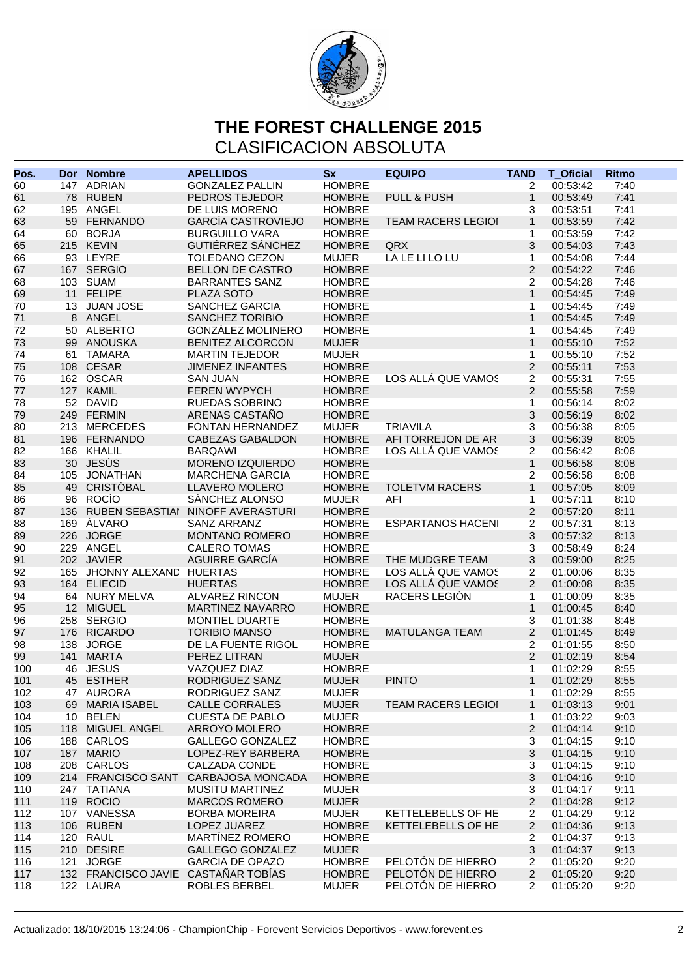

| Pos. | Dor Nombre          | <b>APELLIDOS</b>                    | <b>Sx</b>     | <b>EQUIPO</b>             | <b>TAND</b>    | <b>T_Oficial</b> | <b>Ritmo</b> |
|------|---------------------|-------------------------------------|---------------|---------------------------|----------------|------------------|--------------|
| 60   | 147 ADRIAN          | <b>GONZALEZ PALLIN</b>              | <b>HOMBRE</b> |                           | $\overline{2}$ | 00:53:42         | 7:40         |
| 61   | 78 RUBEN            | PEDROS TEJEDOR                      | <b>HOMBRE</b> | PULL & PUSH               | $\mathbf{1}$   | 00:53:49         | 7:41         |
| 62   | 195 ANGEL           | DE LUIS MORENO                      | <b>HOMBRE</b> |                           | 3              | 00:53:51         | 7:41         |
| 63   | 59 FERNANDO         | <b>GARCÍA CASTROVIEJO</b>           | <b>HOMBRE</b> | <b>TEAM RACERS LEGIOI</b> | $\mathbf{1}$   | 00:53:59         | 7:42         |
| 64   | 60 BORJA            | <b>BURGUILLO VARA</b>               | <b>HOMBRE</b> |                           | $\mathbf{1}$   | 00:53:59         | 7:42         |
| 65   | 215 KEVIN           | <b>GUTIÉRREZ SÁNCHEZ</b>            | <b>HOMBRE</b> | QRX                       | 3              | 00:54:03         | 7:43         |
| 66   | 93 LEYRE            | TOLEDANO CEZON                      | <b>MUJER</b>  | LA LE LI LO LU            | $\mathbf{1}$   | 00:54:08         | 7:44         |
| 67   | 167 SERGIO          | <b>BELLON DE CASTRO</b>             | <b>HOMBRE</b> |                           | 2              | 00:54:22         | 7:46         |
| 68   | 103 SUAM            | <b>BARRANTES SANZ</b>               | <b>HOMBRE</b> |                           | 2              | 00:54:28         | 7:46         |
| 69   | 11 FELIPE           | PLAZA SOTO                          | <b>HOMBRE</b> |                           | $\mathbf{1}$   | 00:54:45         | 7:49         |
| 70   | 13 JUAN JOSE        | SANCHEZ GARCIA                      | <b>HOMBRE</b> |                           | 1              | 00:54:45         | 7:49         |
| 71   | 8 ANGEL             | <b>SANCHEZ TORIBIO</b>              | <b>HOMBRE</b> |                           | $\mathbf{1}$   | 00:54:45         | 7:49         |
| 72   | 50 ALBERTO          | <b>GONZALEZ MOLINERO</b>            | <b>HOMBRE</b> |                           | 1              | 00:54:45         | 7:49         |
| 73   | 99 ANOUSKA          | <b>BENITEZ ALCORCON</b>             | <b>MUJER</b>  |                           | $\mathbf{1}$   | 00:55:10         | 7:52         |
| 74   | 61 TAMARA           | <b>MARTIN TEJEDOR</b>               | <b>MUJER</b>  |                           | 1              | 00:55:10         | 7:52         |
| 75   | 108 CESAR           | <b>JIMENEZ INFANTES</b>             | <b>HOMBRE</b> |                           | $\overline{2}$ | 00:55:11         | 7:53         |
| 76   | 162 OSCAR           | <b>SAN JUAN</b>                     | <b>HOMBRE</b> | LOS ALLÁ QUE VAMOS        | $\overline{2}$ | 00:55:31         | 7:55         |
| 77   | 127 KAMIL           | <b>FEREN WYPYCH</b>                 | <b>HOMBRE</b> |                           | $\overline{c}$ | 00:55:58         | 7:59         |
| 78   | 52 DAVID            | RUEDAS SOBRINO                      | <b>HOMBRE</b> |                           | 1              | 00:56:14         | 8:02         |
| 79   | 249 FERMIN          | ARENAS CASTAÑO                      | <b>HOMBRE</b> |                           | 3              | 00:56:19         | 8:02         |
| 80   | 213 MERCEDES        | <b>FONTAN HERNANDEZ</b>             | <b>MUJER</b>  | <b>TRIAVILA</b>           | 3              | 00:56:38         | 8:05         |
| 81   | 196 FERNANDO        | <b>CABEZAS GABALDON</b>             | <b>HOMBRE</b> | AFI TORREJON DE AR        | 3              | 00:56:39         | 8:05         |
| 82   | 166 KHALIL          | <b>BARQAWI</b>                      | <b>HOMBRE</b> | LOS ALLA QUE VAMOS        | $\overline{2}$ | 00:56:42         | 8:06         |
| 83   | 30 JESÚS            | MORENO IZQUIERDO                    | <b>HOMBRE</b> |                           | $\mathbf{1}$   | 00:56:58         | 8:08         |
| 84   | 105 JONATHAN        | <b>MARCHENA GARCIA</b>              | <b>HOMBRE</b> |                           | 2              | 00:56:58         | 8:08         |
| 85   | 49 CRISTÓBAL        | LLAVERO MOLERO                      | <b>HOMBRE</b> | <b>TOLETVM RACERS</b>     | $\mathbf{1}$   | 00:57:05         | 8:09         |
| 86   | 96 ROCIO            | SÁNCHEZ ALONSO                      | <b>MUJER</b>  | AFI                       | 1              | 00:57:11         | 8:10         |
| 87   | 136 RUBEN SEBASTIAI | NINOFF AVERASTURI                   | <b>HOMBRE</b> |                           | $\overline{2}$ | 00:57:20         | 8:11         |
| 88   | 169 ALVARO          | SANZ ARRANZ                         | <b>HOMBRE</b> | <b>ESPARTANOS HACENI</b>  | $\overline{2}$ | 00:57:31         | 8:13         |
| 89   | 226 JORGE           | <b>MONTANO ROMERO</b>               | <b>HOMBRE</b> |                           | 3              | 00:57:32         | 8:13         |
| 90   | 229 ANGEL           | <b>CALERO TOMAS</b>                 | <b>HOMBRE</b> |                           | 3              | 00:58:49         | 8:24         |
| 91   | 202 JAVIER          | AGUIRRE GARCÍA                      | <b>HOMBRE</b> | THE MUDGRE TEAM           | 3              | 00:59:00         | 8:25         |
| 92   | 165 JHONNY ALEXAND  | <b>HUERTAS</b>                      | <b>HOMBRE</b> | LOS ALLA QUE VAMOS        | $\overline{2}$ | 01:00:06         | 8:35         |
| 93   | 164 ELIECID         | <b>HUERTAS</b>                      | <b>HOMBRE</b> | LOS ALLÁ QUE VAMOS        | 2              | 01:00:08         | 8:35         |
| 94   | 64 NURY MELVA       | <b>ALVAREZ RINCON</b>               | <b>MUJER</b>  | RACERS LEGIÓN             | 1              | 01:00:09         | 8:35         |
| 95   | 12 MIGUEL           | <b>MARTINEZ NAVARRO</b>             | <b>HOMBRE</b> |                           | $\mathbf{1}$   | 01:00:45         | 8:40         |
| 96   | 258 SERGIO          | <b>MONTIEL DUARTE</b>               | <b>HOMBRE</b> |                           | 3              | 01:01:38         | 8:48         |
| 97   | 176 RICARDO         | <b>TORIBIO MANSO</b>                | <b>HOMBRE</b> | <b>MATULANGA TEAM</b>     | 2              | 01:01:45         | 8:49         |
| 98   | 138 JORGE           | DE LA FUENTE RIGOL                  | <b>HOMBRE</b> |                           | $\overline{2}$ | 01:01:55         | 8:50         |
| 99   | 141 MARTA           | PEREZ LITRAN                        | <b>MUJER</b>  |                           | 2              | 01:02:19         | 8:54         |
| 100  | 46 JESUS            | VAZQUEZ DIAZ                        | <b>HOMBRE</b> |                           | 1              | 01:02:29         | 8:55         |
| 101  | 45 ESTHER           | RODRIGUEZ SANZ                      | <b>MUJER</b>  | <b>PINTO</b>              | $\mathbf{1}$   | 01:02:29         | 8:55         |
| 102  | 47 AURORA           | RODRIGUEZ SANZ                      | <b>MUJER</b>  |                           | $\mathbf{1}$   | 01:02:29         | 8:55         |
| 103  | 69 MARIA ISABEL     | <b>CALLE CORRALES</b>               | <b>MUJER</b>  | <b>TEAM RACERS LEGIOI</b> | $\mathbf{1}$   | 01:03:13         | 9:01         |
| 104  | 10 BELEN            | <b>CUESTA DE PABLO</b>              | <b>MUJER</b>  |                           | 1              | 01:03:22         | 9:03         |
| 105  | 118 MIGUEL ANGEL    | ARROYO MOLERO                       | <b>HOMBRE</b> |                           | $\overline{2}$ | 01:04:14         | 9:10         |
| 106  | 188 CARLOS          | <b>GALLEGO GONZALEZ</b>             | <b>HOMBRE</b> |                           | 3              | 01:04:15         | 9:10         |
| 107  | 187 MARIO           | LOPEZ-REY BARBERA                   | <b>HOMBRE</b> |                           | 3              | 01:04:15         | 9:10         |
| 108  | 208 CARLOS          | CALZADA CONDE                       | <b>HOMBRE</b> |                           | 3              | 01:04:15         | 9:10         |
| 109  | 214 FRANCISCO SANT  | CARBAJOSA MONCADA                   | <b>HOMBRE</b> |                           | 3              | 01:04:16         | 9:10         |
| 110  | 247 TATIANA         | <b>MUSITU MARTINEZ</b>              | <b>MUJER</b>  |                           | 3              | 01:04:17         | 9:11         |
| 111  | 119 ROCIO           | <b>MARCOS ROMERO</b>                | <b>MUJER</b>  |                           | $\overline{c}$ | 01:04:28         | 9:12         |
| 112  | 107 VANESSA         | <b>BORBA MOREIRA</b>                | <b>MUJER</b>  | KETTELEBELLS OF HE        | $\overline{2}$ | 01:04:29         | 9:12         |
| 113  | 106 RUBEN           | LOPEZ JUAREZ                        | <b>HOMBRE</b> | KETTELEBELLS OF HE        | $\sqrt{2}$     | 01:04:36         | 9:13         |
| 114  | 120 RAUL            | <b>MARTINEZ ROMERO</b>              | <b>HOMBRE</b> |                           | $\overline{2}$ | 01:04:37         | 9:13         |
| 115  | 210 DESIRE          | <b>GALLEGO GONZALEZ</b>             | <b>MUJER</b>  |                           | 3              | 01:04:37         | 9:13         |
| 116  | 121 JORGE           | <b>GARCIA DE OPAZO</b>              | <b>HOMBRE</b> | PELOTÓN DE HIERRO         | 2              | 01:05:20         | 9:20         |
| 117  |                     | 132 FRANCISCO JAVIE CASTAÑAR TOBÍAS | <b>HOMBRE</b> | PELOTÓN DE HIERRO         | $\overline{2}$ | 01:05:20         | 9:20         |
| 118  | 122 LAURA           | ROBLES BERBEL                       | <b>MUJER</b>  | PELOTÓN DE HIERRO         | $\overline{2}$ | 01:05:20         | 9:20         |
|      |                     |                                     |               |                           |                |                  |              |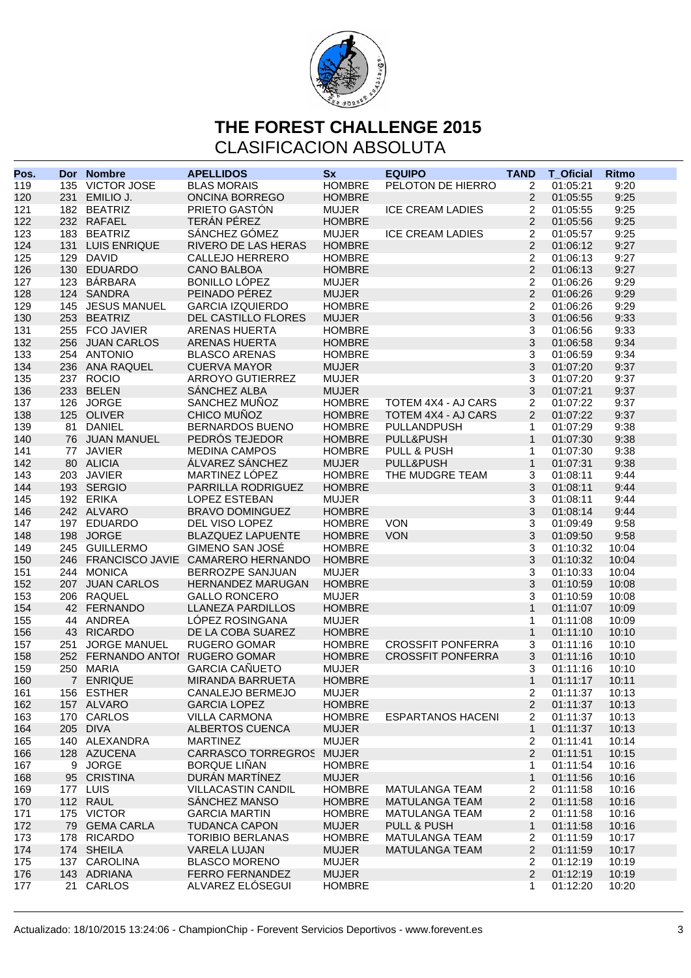

| Pos. | Dor         | <b>Nombre</b>      | <b>APELLIDOS</b>                      | <b>Sx</b>     | <b>EQUIPO</b>            | <b>TAND</b>    | <b>T_Oficial</b> | <b>Ritmo</b> |
|------|-------------|--------------------|---------------------------------------|---------------|--------------------------|----------------|------------------|--------------|
| 119  |             | 135 VICTOR JOSE    | <b>BLAS MORAIS</b>                    | <b>HOMBRE</b> | PELOTON DE HIERRO        | 2              | 01:05:21         | 9:20         |
| 120  | 231         | EMILIO J.          | ONCINA BORREGO                        | <b>HOMBRE</b> |                          | 2              | 01:05:55         | 9:25         |
| 121  |             | 182 BEATRIZ        | PRIETO GASTÓN                         | <b>MUJER</b>  | <b>ICE CREAM LADIES</b>  | 2              | 01:05:55         | 9:25         |
| 122  |             | 232 RAFAEL         | TERÁN PÉREZ                           | <b>HOMBRE</b> |                          | $\overline{2}$ | 01:05:56         | 9:25         |
| 123  |             | 183 BEATRIZ        | SÁNCHEZ GÓMEZ                         | <b>MUJER</b>  | <b>ICE CREAM LADIES</b>  | $\overline{2}$ | 01:05:57         | 9:25         |
| 124  |             | 131 LUIS ENRIQUE   | RIVERO DE LAS HERAS                   | <b>HOMBRE</b> |                          | 2              | 01:06:12         | 9:27         |
| 125  |             | 129 DAVID          | <b>CALLEJO HERRERO</b>                | <b>HOMBRE</b> |                          | 2              | 01:06:13         | 9:27         |
| 126  |             | 130 EDUARDO        | <b>CANO BALBOA</b>                    | <b>HOMBRE</b> |                          | 2              | 01:06:13         | 9:27         |
| 127  |             | 123 BÁRBARA        | <b>BONILLO LÓPEZ</b>                  | <b>MUJER</b>  |                          | $\overline{2}$ | 01:06:26         | 9:29         |
| 128  |             | 124 SANDRA         | PEINADO PÉREZ                         | <b>MUJER</b>  |                          | $\overline{2}$ | 01:06:26         | 9:29         |
| 129  |             | 145 JESUS MANUEL   | <b>GARCIA IZQUIERDO</b>               | <b>HOMBRE</b> |                          | 2              | 01:06:26         | 9:29         |
| 130  |             | 253 BEATRIZ        | DEL CASTILLO FLORES                   | <b>MUJER</b>  |                          | $\mathbf{3}$   | 01:06:56         | 9:33         |
| 131  |             | 255 FCO JAVIER     | ARENAS HUERTA                         | <b>HOMBRE</b> |                          | 3              | 01:06:56         | 9:33         |
| 132  |             | 256 JUAN CARLOS    | <b>ARENAS HUERTA</b>                  | <b>HOMBRE</b> |                          | 3              | 01:06:58         | 9:34         |
| 133  |             | 254 ANTONIO        | <b>BLASCO ARENAS</b>                  | <b>HOMBRE</b> |                          | 3              | 01:06:59         | 9:34         |
| 134  |             | 236 ANA RAQUEL     | <b>CUERVA MAYOR</b>                   | <b>MUJER</b>  |                          | 3              | 01:07:20         | 9:37         |
| 135  |             | 237 ROCIO          | <b>ARROYO GUTIERREZ</b>               | <b>MUJER</b>  |                          | 3              | 01:07:20         | 9:37         |
| 136  |             | 233 BELEN          | SÁNCHEZ ALBA                          | <b>MUJER</b>  |                          | 3              | 01:07:21         | 9:37         |
| 137  |             | 126 JORGE          | SANCHEZ MUÑOZ                         | <b>HOMBRE</b> | TOTEM 4X4 - AJ CARS      | 2              | 01:07:22         | 9:37         |
| 138  |             | 125 OLIVER         | CHICO MUÑOZ                           | <b>HOMBRE</b> | TOTEM 4X4 - AJ CARS      | 2              | 01:07:22         | 9:37         |
| 139  |             | 81 DANIEL          | BERNARDOS BUENO                       | <b>HOMBRE</b> | PULLANDPUSH              | 1              | 01:07:29         | 9:38         |
| 140  |             | 76 JUAN MANUEL     | PEDRÓS TEJEDOR                        | <b>HOMBRE</b> | PULL&PUSH                | $\mathbf{1}$   | 01:07:30         | 9:38         |
| 141  |             | 77 JAVIER          | <b>MEDINA CAMPOS</b>                  | <b>HOMBRE</b> | PULL & PUSH              | 1              | 01:07:30         | 9:38         |
| 142  |             | 80 ALICIA          | ÁLVAREZ SÁNCHEZ                       | <b>MUJER</b>  | PULL&PUSH                | $\mathbf{1}$   | 01:07:31         | 9:38         |
| 143  |             | 203 JAVIER         | MARTINEZ LÓPEZ                        | <b>HOMBRE</b> | THE MUDGRE TEAM          | 3              | 01:08:11         | 9:44         |
| 144  |             | 193 SERGIO         | PARRILLA RODRIGUEZ                    | <b>HOMBRE</b> |                          | 3              | 01:08:11         | 9:44         |
| 145  |             | 192 ERIKA          | LOPEZ ESTEBAN                         | <b>MUJER</b>  |                          | 3              | 01:08:11         | 9:44         |
| 146  |             | 242 ALVARO         | <b>BRAVO DOMINGUEZ</b>                | <b>HOMBRE</b> |                          | 3              | 01:08:14         | 9:44         |
| 147  |             | 197 EDUARDO        | DEL VISO LOPEZ                        | <b>HOMBRE</b> | <b>VON</b>               | 3              | 01:09:49         | 9:58         |
| 148  |             | 198 JORGE          | <b>BLAZQUEZ LAPUENTE</b>              | <b>HOMBRE</b> | <b>VON</b>               | 3              | 01:09:50         | 9:58         |
| 149  |             | 245 GUILLERMO      | GIMENO SAN JOSÉ                       | <b>HOMBRE</b> |                          | 3              | 01:10:32         | 10:04        |
| 150  |             |                    | 246 FRANCISCO JAVIE CAMARERO HERNANDO | <b>HOMBRE</b> |                          | 3              | 01:10:32         | 10:04        |
| 151  |             | 244 MONICA         | BERROZPE SANJUAN                      | <b>MUJER</b>  |                          | 3              | 01:10:33         | 10:04        |
| 152  |             | 207 JUAN CARLOS    | HERNANDEZ MARUGAN                     | <b>HOMBRE</b> |                          | 3              | 01:10:59         | 10:08        |
| 153  |             | 206 RAQUEL         | <b>GALLO RONCERO</b>                  | <b>MUJER</b>  |                          | 3              | 01:10:59         | 10:08        |
| 154  |             | 42 FERNANDO        | <b>LLANEZA PARDILLOS</b>              | <b>HOMBRE</b> |                          | $\mathbf{1}$   | 01:11:07         | 10:09        |
| 155  |             | 44 ANDREA          | LÓPEZ ROSINGANA                       | <b>MUJER</b>  |                          | 1              | 01:11:08         | 10:09        |
| 156  |             | 43 RICARDO         | DE LA COBA SUAREZ                     | <b>HOMBRE</b> |                          | $\mathbf{1}$   | 01:11:10         | 10:10        |
| 157  |             | 251 JORGE MANUEL   | <b>RUGERO GOMAR</b>                   | <b>HOMBRE</b> | <b>CROSSFIT PONFERRA</b> | 3              | 01:11:16         | 10:10        |
| 158  |             | 252 FERNANDO ANTOI | RUGERO GOMAR                          | <b>HOMBRE</b> | <b>CROSSFIT PONFERRA</b> | 3              | 01:11:16         | 10:10        |
| 159  |             | 250 MARIA          | <b>GARCIA CAÑUETO</b>                 | <b>MUJER</b>  |                          | 3              | 01:11:16         | 10:10        |
| 160  | $7^{\circ}$ | <b>ENRIQUE</b>     | <b>MIRANDA BARRUETA</b>               | <b>HOMBRE</b> |                          | $\mathbf{1}$   | 01:11:17         | 10:11        |
| 161  |             | 156 ESTHER         | CANALEJO BERMEJO                      | <b>MUJER</b>  |                          | $\overline{c}$ | 01:11:37         | 10:13        |
| 162  |             | 157 ALVARO         | <b>GARCIA LOPEZ</b>                   | <b>HOMBRE</b> |                          | $\overline{2}$ | 01:11:37         | 10:13        |
| 163  |             | 170 CARLOS         | <b>VILLA CARMONA</b>                  | <b>HOMBRE</b> | <b>ESPARTANOS HACENI</b> | 2              | 01:11:37         | 10:13        |
| 164  |             | 205 DIVA           | ALBERTOS CUENCA                       | <b>MUJER</b>  |                          | $\mathbf{1}$   | 01:11:37         | 10:13        |
| 165  |             | 140 ALEXANDRA      | <b>MARTINEZ</b>                       | <b>MUJER</b>  |                          | $\overline{c}$ | 01:11:41         | 10:14        |
| 166  |             | 128 AZUCENA        | <b>CARRASCO TORREGROS</b>             | <b>MUJER</b>  |                          | $\overline{2}$ | 01:11:51         | 10:15        |
| 167  |             | 9 JORGE            | <b>BORQUE LIÑAN</b>                   | <b>HOMBRE</b> |                          | 1              | 01:11:54         | 10:16        |
| 168  |             | 95 CRISTINA        | DURÁN MARTÍNEZ                        | <b>MUJER</b>  |                          | 1              | 01:11:56         | 10:16        |
| 169  |             | 177 LUIS           | <b>VILLACASTIN CANDIL</b>             | <b>HOMBRE</b> | <b>MATULANGA TEAM</b>    | $\overline{c}$ | 01:11:58         | 10:16        |
| 170  |             | 112 RAUL           | SANCHEZ MANSO                         | <b>HOMBRE</b> | MATULANGA TEAM           | $\overline{c}$ | 01:11:58         | 10:16        |
| 171  |             | 175 VICTOR         | <b>GARCIA MARTIN</b>                  | <b>HOMBRE</b> | MATULANGA TEAM           | 2              | 01:11:58         | 10:16        |
| 172  |             | 79 GEMA CARLA      | <b>TUDANCA CAPON</b>                  | <b>MUJER</b>  | PULL & PUSH              | $\mathbf{1}$   | 01:11:58         | 10:16        |
| 173  |             | 178 RICARDO        | <b>TORIBIO BERLANAS</b>               | <b>HOMBRE</b> | MATULANGA TEAM           | 2              | 01:11:59         | 10:17        |
| 174  |             | 174 SHEILA         | <b>VARELA LUJAN</b>                   | <b>MUJER</b>  | MATULANGA TEAM           | 2              | 01:11:59         | 10:17        |
| 175  |             | 137 CAROLINA       | <b>BLASCO MORENO</b>                  | <b>MUJER</b>  |                          | 2              | 01:12:19         | 10:19        |
| 176  |             | 143 ADRIANA        | <b>FERRO FERNANDEZ</b>                | <b>MUJER</b>  |                          | $\overline{2}$ | 01:12:19         | 10:19        |
| 177  |             | 21 CARLOS          | ALVAREZ ELÓSEGUI                      | <b>HOMBRE</b> |                          | 1              | 01:12:20         | 10:20        |